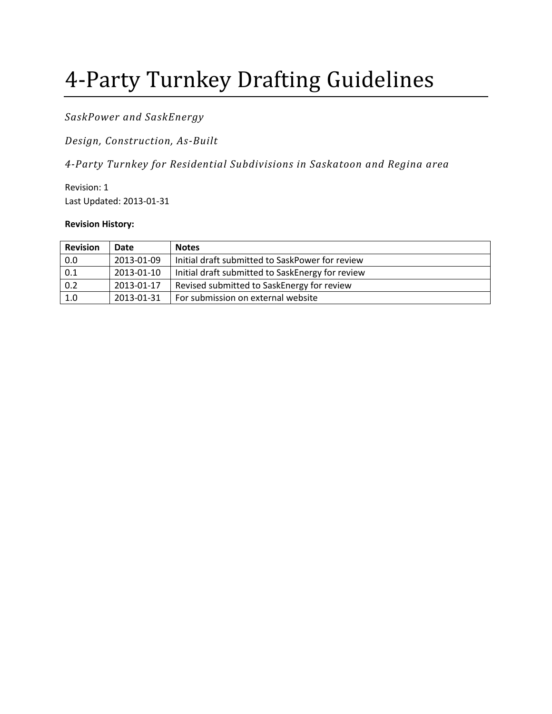# 4-Party Turnkey Drafting Guidelines

*SaskPower and SaskEnergy* 

*Design, Construction, As-Built* 

*4-Party Turnkey for Residential Subdivisions in Saskatoon and Regina area* 

Revision: 1 Last Updated: 2013-01-31

#### **Revision History:**

| <b>Revision</b> | Date       | <b>Notes</b>                                     |
|-----------------|------------|--------------------------------------------------|
| 0.0             | 2013-01-09 | Initial draft submitted to SaskPower for review  |
| 0.1             | 2013-01-10 | Initial draft submitted to SaskEnergy for review |
| 0.2             | 2013-01-17 | Revised submitted to SaskEnergy for review       |
| 1.0             | 2013-01-31 | For submission on external website               |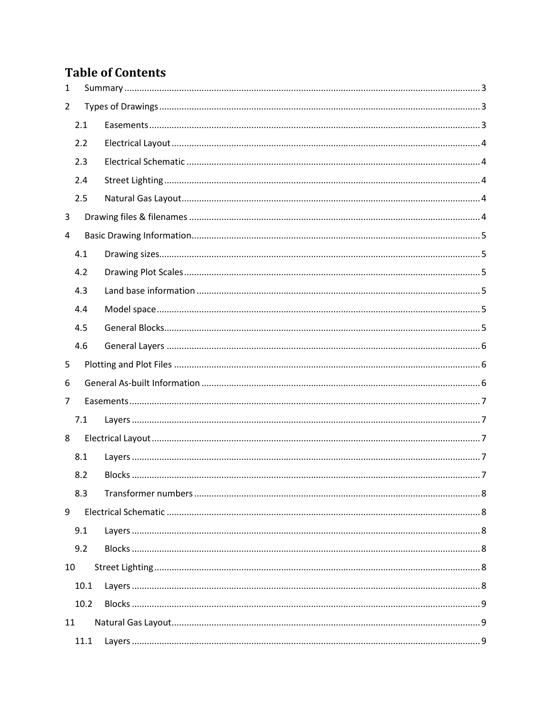# **Table of Contents**

| 1              |      |  |
|----------------|------|--|
| $\overline{2}$ |      |  |
|                | 2.1  |  |
|                | 2.2  |  |
|                | 2.3  |  |
|                | 2.4  |  |
|                | 2.5  |  |
| 3              |      |  |
| 4              |      |  |
|                | 4.1  |  |
|                | 4.2  |  |
|                | 4.3  |  |
|                | 4.4  |  |
|                | 4.5  |  |
|                | 4.6  |  |
| 5              |      |  |
| 6              |      |  |
| 7              |      |  |
|                | 7.1  |  |
| 8              |      |  |
|                | 8.1  |  |
|                | 8.2  |  |
|                | 8.3  |  |
| 9              |      |  |
|                | 9.1  |  |
|                | 9.2  |  |
| 10             |      |  |
|                | 10.1 |  |
|                | 10.2 |  |
| 11             |      |  |
|                | 11.1 |  |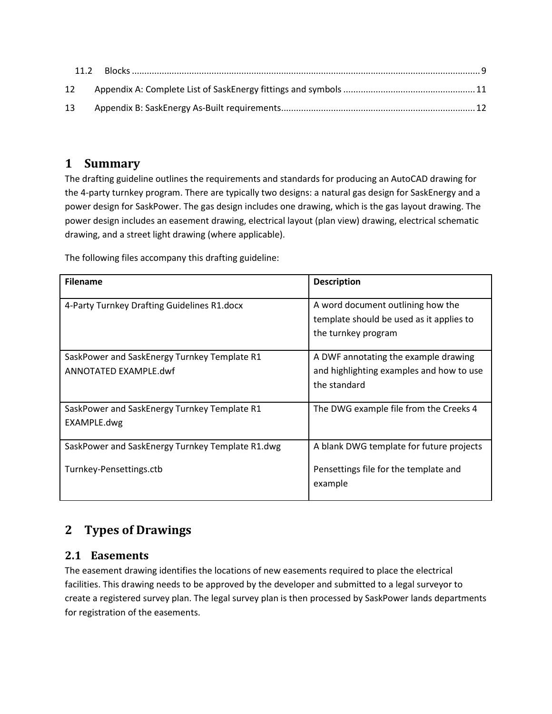| 12 |  |
|----|--|
| 13 |  |

## <span id="page-2-0"></span>**1 Summary**

The drafting guideline outlines the requirements and standards for producing an AutoCAD drawing for the 4-party turnkey program. There are typically two designs: a natural gas design for SaskEnergy and a power design for SaskPower. The gas design includes one drawing, which is the gas layout drawing. The power design includes an easement drawing, electrical layout (plan view) drawing, electrical schematic drawing, and a street light drawing (where applicable).

The following files accompany this drafting guideline:

| <b>Filename</b>                                  | <b>Description</b>                       |
|--------------------------------------------------|------------------------------------------|
|                                                  |                                          |
| 4-Party Turnkey Drafting Guidelines R1.docx      | A word document outlining how the        |
|                                                  | template should be used as it applies to |
|                                                  | the turnkey program                      |
|                                                  |                                          |
| SaskPower and SaskEnergy Turnkey Template R1     | A DWF annotating the example drawing     |
| ANNOTATED EXAMPLE.dwf                            | and highlighting examples and how to use |
|                                                  | the standard                             |
|                                                  |                                          |
| SaskPower and SaskEnergy Turnkey Template R1     | The DWG example file from the Creeks 4   |
| EXAMPLE.dwg                                      |                                          |
|                                                  |                                          |
| SaskPower and SaskEnergy Turnkey Template R1.dwg | A blank DWG template for future projects |
|                                                  |                                          |
| Turnkey-Pensettings.ctb                          | Pensettings file for the template and    |
|                                                  | example                                  |
|                                                  |                                          |

# <span id="page-2-1"></span>**2 Types of Drawings**

#### <span id="page-2-2"></span>**2.1 Easements**

The easement drawing identifies the locations of new easements required to place the electrical facilities. This drawing needs to be approved by the developer and submitted to a legal surveyor to create a registered survey plan. The legal survey plan is then processed by SaskPower lands departments for registration of the easements.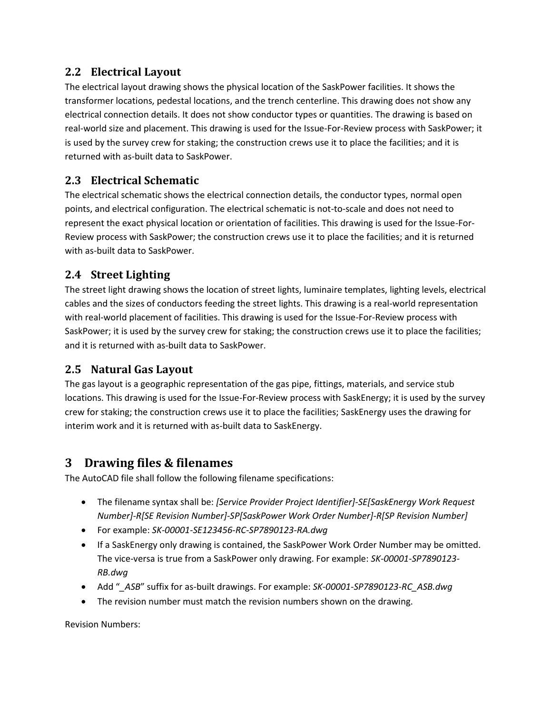## <span id="page-3-0"></span>**2.2 Electrical Layout**

The electrical layout drawing shows the physical location of the SaskPower facilities. It shows the transformer locations, pedestal locations, and the trench centerline. This drawing does not show any electrical connection details. It does not show conductor types or quantities. The drawing is based on real-world size and placement. This drawing is used for the Issue-For-Review process with SaskPower; it is used by the survey crew for staking; the construction crews use it to place the facilities; and it is returned with as-built data to SaskPower.

## <span id="page-3-1"></span>**2.3 Electrical Schematic**

The electrical schematic shows the electrical connection details, the conductor types, normal open points, and electrical configuration. The electrical schematic is not-to-scale and does not need to represent the exact physical location or orientation of facilities. This drawing is used for the Issue-For-Review process with SaskPower; the construction crews use it to place the facilities; and it is returned with as-built data to SaskPower.

## <span id="page-3-2"></span>**2.4 Street Lighting**

The street light drawing shows the location of street lights, luminaire templates, lighting levels, electrical cables and the sizes of conductors feeding the street lights. This drawing is a real-world representation with real-world placement of facilities. This drawing is used for the Issue-For-Review process with SaskPower; it is used by the survey crew for staking; the construction crews use it to place the facilities; and it is returned with as-built data to SaskPower.

#### <span id="page-3-3"></span>**2.5 Natural Gas Layout**

The gas layout is a geographic representation of the gas pipe, fittings, materials, and service stub locations. This drawing is used for the Issue-For-Review process with SaskEnergy; it is used by the survey crew for staking; the construction crews use it to place the facilities; SaskEnergy uses the drawing for interim work and it is returned with as-built data to SaskEnergy.

## <span id="page-3-4"></span>**3 Drawing files & filenames**

The AutoCAD file shall follow the following filename specifications:

- The filename syntax shall be: *[Service Provider Project Identifier]-SE[SaskEnergy Work Request Number]-R[SE Revision Number]-SP[SaskPower Work Order Number]-R[SP Revision Number]*
- For example: *SK-00001-SE123456-RC-SP7890123-RA.dwg*
- If a SaskEnergy only drawing is contained, the SaskPower Work Order Number may be omitted. The vice-versa is true from a SaskPower only drawing. For example: *SK-00001-SP7890123- RB.dwg*
- Add "*\_ASB*" suffix for as-built drawings. For example: *SK-00001-SP7890123-RC\_ASB.dwg*
- The revision number must match the revision numbers shown on the drawing.

Revision Numbers: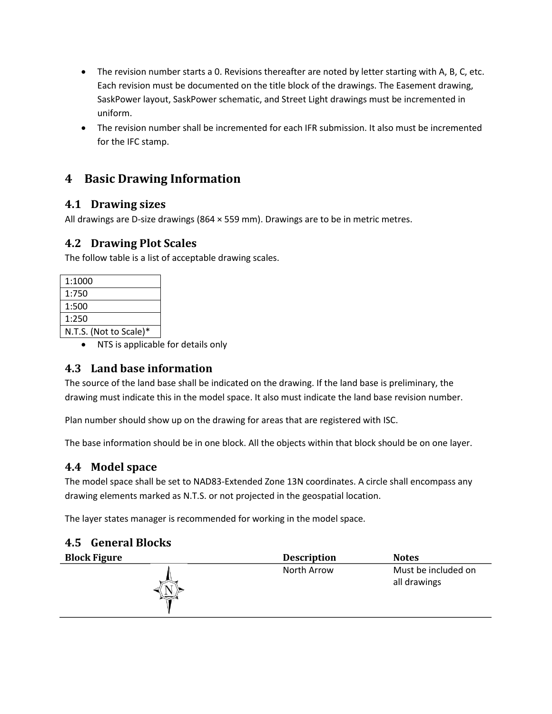- The revision number starts a 0. Revisions thereafter are noted by letter starting with A, B, C, etc. Each revision must be documented on the title block of the drawings. The Easement drawing, SaskPower layout, SaskPower schematic, and Street Light drawings must be incremented in uniform.
- The revision number shall be incremented for each IFR submission. It also must be incremented for the IFC stamp.

## <span id="page-4-0"></span>**4 Basic Drawing Information**

## <span id="page-4-1"></span>**4.1 Drawing sizes**

All drawings are D-size drawings (864 × 559 mm). Drawings are to be in metric metres.

## <span id="page-4-2"></span>**4.2 Drawing Plot Scales**

The follow table is a list of acceptable drawing scales.

| 1:1000                 |
|------------------------|
| 1:750                  |
| 1:500                  |
| 1:250                  |
| N.T.S. (Not to Scale)* |

• NTS is applicable for details only

## <span id="page-4-3"></span>**4.3 Land base information**

The source of the land base shall be indicated on the drawing. If the land base is preliminary, the drawing must indicate this in the model space. It also must indicate the land base revision number.

Plan number should show up on the drawing for areas that are registered with ISC.

The base information should be in one block. All the objects within that block should be on one layer.

## <span id="page-4-4"></span>**4.4 Model space**

The model space shall be set to NAD83-Extended Zone 13N coordinates. A circle shall encompass any drawing elements marked as N.T.S. or not projected in the geospatial location.

The layer states manager is recommended for working in the model space.

<span id="page-4-5"></span>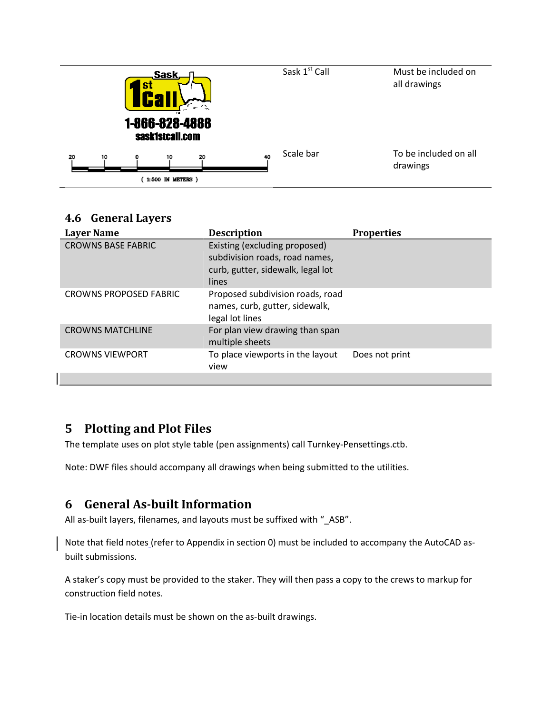|    |    | /S' | ,Sask,<br>TM.<br>1-866-828-4888<br>sask1stcall.com |    |    | Sask 1st Call | Must be included on<br>all drawings |
|----|----|-----|----------------------------------------------------|----|----|---------------|-------------------------------------|
| 20 | 10 | 0   | 10                                                 | 20 | 40 | Scale bar     | To be included on all<br>drawings   |
|    |    |     | 1:500 IN METERS )                                  |    |    |               |                                     |

#### <span id="page-5-0"></span>**4.6 General Layers**

| <b>Layer Name</b>             | <b>Description</b>                                                                                            | <b>Properties</b> |
|-------------------------------|---------------------------------------------------------------------------------------------------------------|-------------------|
| <b>CROWNS BASE FABRIC</b>     | Existing (excluding proposed)<br>subdivision roads, road names,<br>curb, gutter, sidewalk, legal lot<br>lines |                   |
| <b>CROWNS PROPOSED FABRIC</b> | Proposed subdivision roads, road<br>names, curb, gutter, sidewalk,<br>legal lot lines                         |                   |
| <b>CROWNS MATCHLINE</b>       | For plan view drawing than span<br>multiple sheets                                                            |                   |
| <b>CROWNS VIEWPORT</b>        | To place viewports in the layout<br>view                                                                      | Does not print    |
|                               |                                                                                                               |                   |

## <span id="page-5-1"></span>**5 Plotting and Plot Files**

The template uses on plot style table (pen assignments) call Turnkey-Pensettings.ctb.

Note: DWF files should accompany all drawings when being submitted to the utilities.

## <span id="page-5-2"></span>**6 General As-built Information**

All as-built layers, filenames, and layouts must be suffixed with "\_ASB".

Note that field notes (refer to Appendix in section [0\)](#page-10-1) must be included to accompany the AutoCAD asbuilt submissions.

A staker's copy must be provided to the staker. They will then pass a copy to the crews to markup for construction field notes.

Tie-in location details must be shown on the as-built drawings.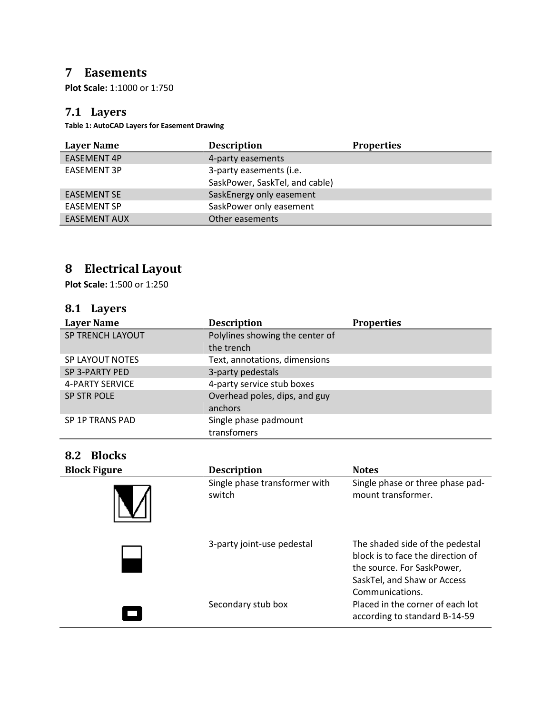## <span id="page-6-0"></span>**7 Easements**

**Plot Scale:** 1:1000 or 1:750

#### <span id="page-6-1"></span>**7.1 Layers**

**Table 1: AutoCAD Layers for Easement Drawing** 

| <b>Layer Name</b>   | <b>Description</b>             | <b>Properties</b> |
|---------------------|--------------------------------|-------------------|
| <b>EASEMENT 4P</b>  | 4-party easements              |                   |
| <b>EASEMENT 3P</b>  | 3-party easements (i.e.        |                   |
|                     | SaskPower, SaskTel, and cable) |                   |
| <b>EASEMENT SE</b>  | SaskEnergy only easement       |                   |
| <b>EASEMENT SP</b>  | SaskPower only easement        |                   |
| <b>EASEMENT AUX</b> | Other easements                |                   |

# <span id="page-6-2"></span>**8 Electrical Layout**

**Plot Scale:** 1:500 or 1:250

## <span id="page-6-3"></span>**8.1 Layers**

| <b>Layer Name</b>       | <b>Description</b>              | <b>Properties</b> |
|-------------------------|---------------------------------|-------------------|
| <b>SP TRENCH LAYOUT</b> | Polylines showing the center of |                   |
|                         | the trench                      |                   |
| SP LAYOUT NOTES         | Text, annotations, dimensions   |                   |
| SP 3-PARTY PED          | 3-party pedestals               |                   |
| <b>4-PARTY SERVICE</b>  | 4-party service stub boxes      |                   |
| <b>SP STR POLE</b>      | Overhead poles, dips, and guy   |                   |
|                         | anchors                         |                   |
| SP 1P TRANS PAD         | Single phase padmount           |                   |
|                         | transfomers                     |                   |

## <span id="page-6-4"></span>**8.2 Blocks**

| <b>Block Figure</b> | <b>Description</b>                      | <b>Notes</b>                                                                                                                                         |
|---------------------|-----------------------------------------|------------------------------------------------------------------------------------------------------------------------------------------------------|
|                     | Single phase transformer with<br>switch | Single phase or three phase pad-<br>mount transformer.                                                                                               |
|                     | 3-party joint-use pedestal              | The shaded side of the pedestal<br>block is to face the direction of<br>the source. For SaskPower,<br>SaskTel, and Shaw or Access<br>Communications. |
|                     | Secondary stub box                      | Placed in the corner of each lot<br>according to standard B-14-59                                                                                    |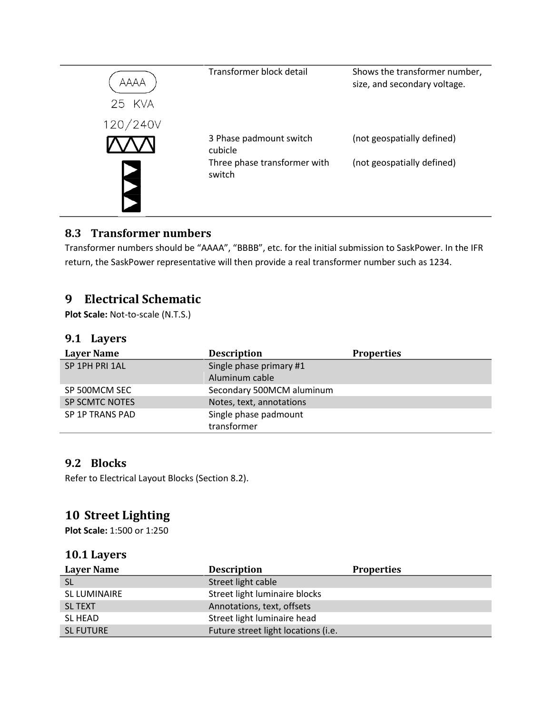

#### <span id="page-7-0"></span>**8.3 Transformer numbers**

Transformer numbers should be "AAAA", "BBBB", etc. for the initial submission to SaskPower. In the IFR return, the SaskPower representative will then provide a real transformer number such as 1234.

## <span id="page-7-1"></span>**9 Electrical Schematic**

**Plot Scale:** Not-to-scale (N.T.S.)

#### <span id="page-7-2"></span>**9.1 Layers**

| <b>Layer Name</b> | <b>Description</b>        | <b>Properties</b> |
|-------------------|---------------------------|-------------------|
| SP 1PH PRI 1AL    | Single phase primary #1   |                   |
|                   | Aluminum cable            |                   |
| SP 500MCM SEC     | Secondary 500MCM aluminum |                   |
| SP SCMTC NOTES    | Notes, text, annotations  |                   |
| SP 1P TRANS PAD   | Single phase padmount     |                   |
|                   | transformer               |                   |

#### <span id="page-7-3"></span>**9.2 Blocks**

Refer to Electrical Layout Blocks (Sectio[n 8.2\)](#page-6-4).

## <span id="page-7-4"></span>**10 Street Lighting**

**Plot Scale:** 1:500 or 1:250

#### <span id="page-7-5"></span>**10.1 Layers**

| <b>Layer Name</b> | <b>Description</b>                  | <b>Properties</b> |
|-------------------|-------------------------------------|-------------------|
| <b>SL</b>         | Street light cable                  |                   |
| SL LUMINAIRE      | Street light luminaire blocks       |                   |
| <b>SL TEXT</b>    | Annotations, text, offsets          |                   |
| <b>SL HEAD</b>    | Street light luminaire head         |                   |
| <b>SL FUTURE</b>  | Future street light locations (i.e. |                   |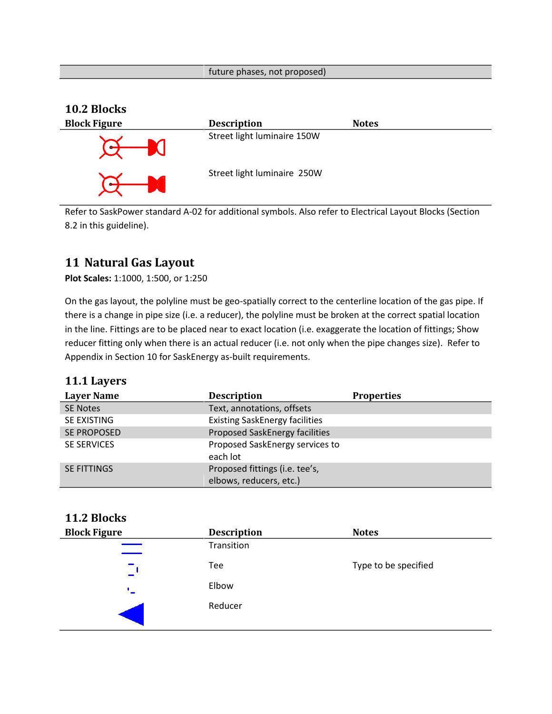#### future phases, not proposed)

#### <span id="page-8-0"></span>**10.2 Blocks**



Refer to SaskPower standard A-02 for additional symbols. Also refer to Electrical Layout Blocks (Section [8.2](#page-6-4) in this guideline).

## <span id="page-8-1"></span>**11 Natural Gas Layout**

**Plot Scales:** 1:1000, 1:500, or 1:250

On the gas layout, the polyline must be geo-spatially correct to the centerline location of the gas pipe. If there is a change in pipe size (i.e. a reducer), the polyline must be broken at the correct spatial location in the line. Fittings are to be placed near to exact location (i.e. exaggerate the location of fittings; Show reducer fitting only when there is an actual reducer (i.e. not only when the pipe changes size). Refer to Appendix in Section [10](#page-13-0) for SaskEnergy as-built requirements.

#### <span id="page-8-2"></span>**11.1 Layers**

| <b>Layer Name</b>  | <b>Description</b>                          | <b>Properties</b> |
|--------------------|---------------------------------------------|-------------------|
| <b>SE Notes</b>    | Text, annotations, offsets                  |                   |
| SE EXISTING        | <b>Existing SaskEnergy facilities</b>       |                   |
| <b>SE PROPOSED</b> | Proposed SaskEnergy facilities              |                   |
| <b>SE SERVICES</b> | Proposed SaskEnergy services to<br>each lot |                   |
| <b>SE FITTINGS</b> | Proposed fittings (i.e. tee's,              |                   |
|                    | elbows, reducers, etc.)                     |                   |

#### <span id="page-8-3"></span>**11.2 Blocks**

| <b>Block Figure</b> | <b>Description</b> | <b>Notes</b>         |
|---------------------|--------------------|----------------------|
|                     | Transition         |                      |
|                     | Tee                | Type to be specified |
|                     | Elbow              |                      |
|                     | Reducer            |                      |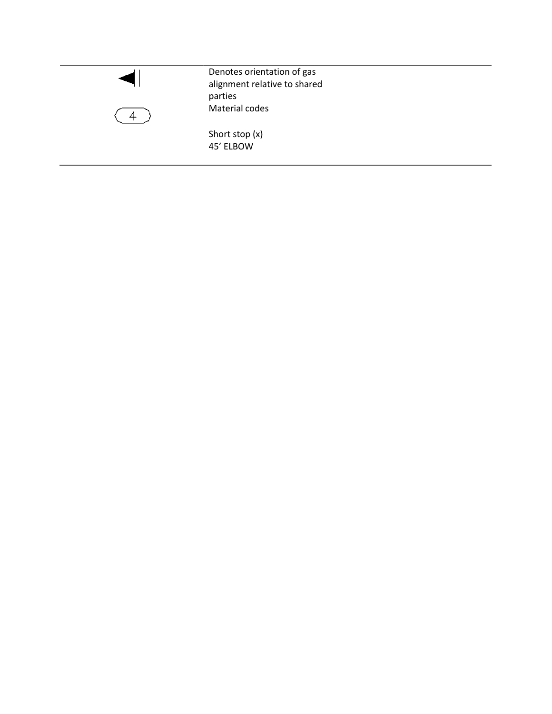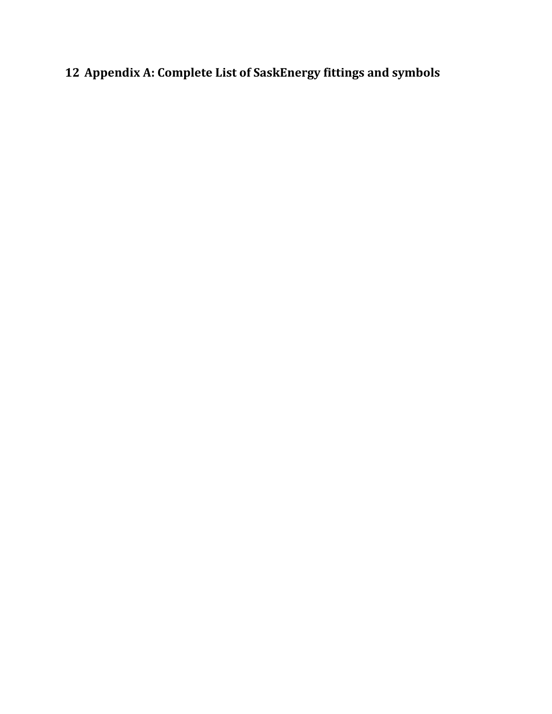# <span id="page-10-1"></span><span id="page-10-0"></span>**Appendix A: Complete List of SaskEnergy fittings and symbols**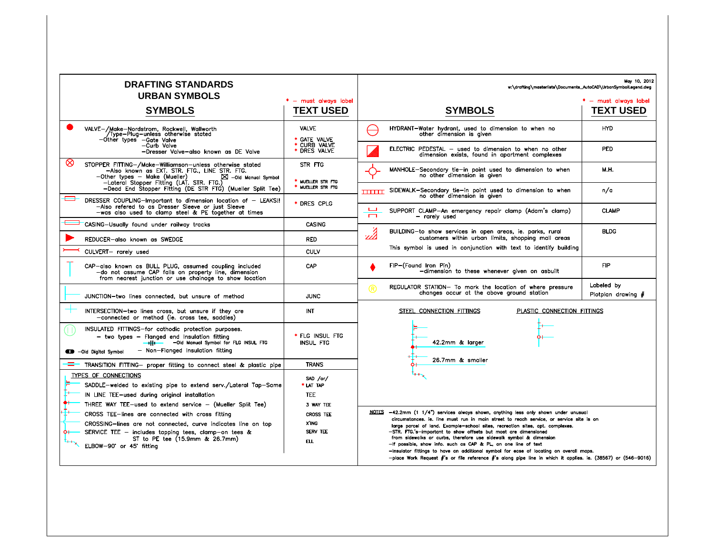| <b>DRAFTING STANDARDS</b><br><b>URBAN SYMBOLS</b>                                                                                                                                                                                                                                                           |                                                                         | May 10, 2012<br>w:\drafting\masterlists\Documents_AutoCAD\UrbanSymbolLegend.dwg                                                                                                                                                                                                                                                                                                                                                                                                                                                                                                                                                                                                       |  |
|-------------------------------------------------------------------------------------------------------------------------------------------------------------------------------------------------------------------------------------------------------------------------------------------------------------|-------------------------------------------------------------------------|---------------------------------------------------------------------------------------------------------------------------------------------------------------------------------------------------------------------------------------------------------------------------------------------------------------------------------------------------------------------------------------------------------------------------------------------------------------------------------------------------------------------------------------------------------------------------------------------------------------------------------------------------------------------------------------|--|
| <b>SYMBOLS</b>                                                                                                                                                                                                                                                                                              | * - must always label<br><b>TEXT USED</b>                               | * - must always label<br><b>SYMBOLS</b><br><b>TEXT USED</b>                                                                                                                                                                                                                                                                                                                                                                                                                                                                                                                                                                                                                           |  |
| VALVE-/Make-Nordstrom, Rockwell, Wallworth<br>Type-Plug-unless otherwise stated<br>—Other types —Gate Valve                                                                                                                                                                                                 | <b>VALVE</b>                                                            | HYDRANT-Water hydrant, used to dimension to when no<br><b>HYD</b><br>other dimension is given                                                                                                                                                                                                                                                                                                                                                                                                                                                                                                                                                                                         |  |
| -Curb Valve<br>-Dresser Valve-also known as DE Valve                                                                                                                                                                                                                                                        | * GATE VALVE<br>* CURB VALVE<br>* DRES VALVE                            | ELECTRIC PEDESTAL - used to dimension to when no other<br><b>PED</b><br>dimension exists, found in apartment complexes                                                                                                                                                                                                                                                                                                                                                                                                                                                                                                                                                                |  |
| ∞<br>STOPPER FITTING-/Make-Williamson-unless otherwise stated<br>—Also known as EXT. STR. FTG., LINE STR. FTG.<br>-Other types - Make (Mueller)<br>- Lateral Stopper Fitting (LAT. STR. FTG.)<br>$\boxtimes$ -Old Manual Symbol                                                                             | STR FTG                                                                 | MANHOLE-Secondary tie-in point used to dimension to when<br>M.H.<br>no other dimension is given                                                                                                                                                                                                                                                                                                                                                                                                                                                                                                                                                                                       |  |
| -Dead End Stopper Fitting (DE STR FTG) (Mueller Split Tee)                                                                                                                                                                                                                                                  | * MUELLER STR FTG<br>* MUELLER STR FTG                                  | <b>TITTLE</b> SIDEWALK-Secondary tie-in point used to dimension to when<br>n/a<br>no other dimension is given                                                                                                                                                                                                                                                                                                                                                                                                                                                                                                                                                                         |  |
| DRESSER COUPLING-Important to dimension location of - LEAKS !!<br>-Also refered to as Dresser Sleeve or just Sleeve<br>-was also used to clamp steel & PE together at times                                                                                                                                 | * DRES CPLG                                                             | ىب<br>SUPPORT CLAMP-An emergency repair clamp (Adam's clamp)<br><b>CLAMP</b><br>$\overline{\phantom{0}}$<br>- rarely used                                                                                                                                                                                                                                                                                                                                                                                                                                                                                                                                                             |  |
| CASING-Usually found under railway tracks                                                                                                                                                                                                                                                                   | <b>CASING</b>                                                           | <b>BLDG</b>                                                                                                                                                                                                                                                                                                                                                                                                                                                                                                                                                                                                                                                                           |  |
| REDUCER-also known as SWEDGE                                                                                                                                                                                                                                                                                | <b>RED</b>                                                              | BUILDING-to show services in open areas, ie. parks, rural<br>customers within urban limits, shopping mall areas                                                                                                                                                                                                                                                                                                                                                                                                                                                                                                                                                                       |  |
| CULVERT- rarely used                                                                                                                                                                                                                                                                                        | <b>CULV</b>                                                             | This symbol is used in conjunction with text to identify building                                                                                                                                                                                                                                                                                                                                                                                                                                                                                                                                                                                                                     |  |
| CAP-also known as BULL PLUG, assumed coupling included<br>-do not assume CAP falls on property line, dimension<br>from nearest junction or use chainage to show location                                                                                                                                    | CAP                                                                     | <b>FIP</b><br>FIP-(Found Iron Pin)<br>-dimension to these whenever given on asbuilt                                                                                                                                                                                                                                                                                                                                                                                                                                                                                                                                                                                                   |  |
| JUNCTION-two lines connected, but unsure of method                                                                                                                                                                                                                                                          | <b>JUNC</b>                                                             | Labeled by<br>REGULATOR STATION- To mark the location of where pressure<br>®<br>changes occur at the above ground station<br>Plotplan drawing $#$                                                                                                                                                                                                                                                                                                                                                                                                                                                                                                                                     |  |
| INTERSECTION-two lines cross, but unsure if they are<br>-connected or method (ie. cross tee, saddles)                                                                                                                                                                                                       | INT                                                                     | PLASTIC CONNECTION FITTINGS<br>STEEL CONNECTION FITTINGS                                                                                                                                                                                                                                                                                                                                                                                                                                                                                                                                                                                                                              |  |
| INSULATED FITTINGS-for cathodic protection purposes.<br>$-$ two types $-$ Flanged end Insulation fitting<br>-Old Manual Symbol for FLG INSUL FTG<br>$-$<br>- Non-Flanged Insulation fitting<br>-Old Digital Symbol                                                                                          | * FLG INSUL FTG<br><b>INSUL FTG</b>                                     | 42.2mm & larger                                                                                                                                                                                                                                                                                                                                                                                                                                                                                                                                                                                                                                                                       |  |
| TRANSITION FITTING- proper fitting to connect steel & plastic pipe                                                                                                                                                                                                                                          | <b>TRANS</b>                                                            | 26.7mm & smaller                                                                                                                                                                                                                                                                                                                                                                                                                                                                                                                                                                                                                                                                      |  |
| TYPES OF CONNECTIONS<br>SADDLE-welded to existing pipe to extend serv./Lateral Tap-Same<br>IN LINE TEE-used during original installation                                                                                                                                                                    | SAD /or/<br>* LAT TAP<br><b>TEE</b>                                     |                                                                                                                                                                                                                                                                                                                                                                                                                                                                                                                                                                                                                                                                                       |  |
| THREE WAY TEE-used to extend service - (Mueller Split Tee)<br>CROSS TEE-lines are connected with cross fitting<br>CROSSING-lines are not connected, curve indicates line on top<br>SERVICE TEE - includes tapping tees, clamp-on tees &<br>٥۱<br>ST to PE tee (15.9mm & 26.7mm)<br>ELBOW-90° or 45° fitting | 3 WAY TEE<br><b>CROSS TEE</b><br>X'ING<br><b>SERV TEE</b><br><b>ELL</b> | NOTES -42.2mm (1 1/4") services always shown, anything less only shown under unusual<br>circumstances. ie. line must run in main street to reach service, or service site is on<br>large parcel of land. Example-school sites, recreation sites, apt. complexes.<br>-STR. FTG.'s-important to show offsets but most are dimensioned<br>from sidewalks or curbs, therefore use sidewalk symbol & dimension<br>-If possible, show info. such as CAP & PL, on one line of text<br>-Insulator fittings to have an additional symbol for ease of locating on overall maps.<br>-place Work Request #'s or file reference #'s along pipe line in which it applies. ie. (38567) or (546-9016) |  |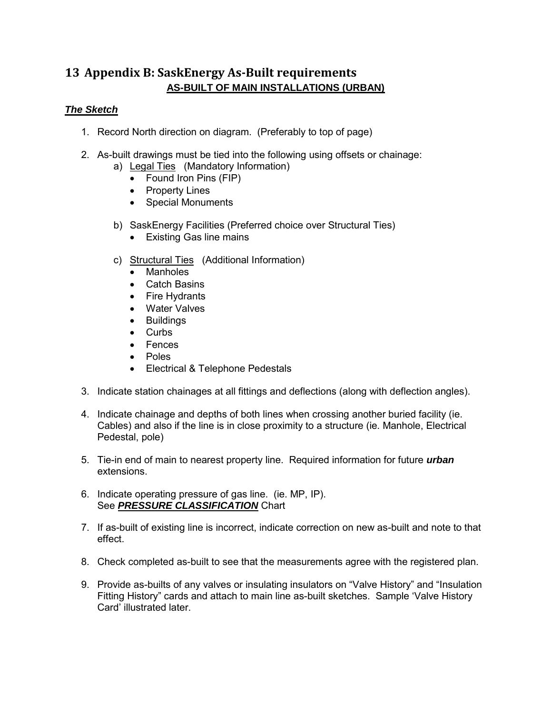## <span id="page-12-0"></span>**13 Appendix B: SaskEnergy As-Built requirements AS-BUILT OF MAIN INSTALLATIONS (URBAN)**

#### *The Sketch*

- 1. Record North direction on diagram. (Preferably to top of page)
- 2. As-built drawings must be tied into the following using offsets or chainage:
	- a) Legal Ties (Mandatory Information)
		- Found Iron Pins (FIP)
		- Property Lines
		- Special Monuments
	- b) SaskEnergy Facilities (Preferred choice over Structural Ties)
		- Existing Gas line mains
	- c) Structural Ties (Additional Information)
		- Manholes
		- Catch Basins
		- Fire Hydrants
		- Water Valves
		- Buildings
		- Curbs
		- Fences
		- Poles
		- Electrical & Telephone Pedestals
- 3. Indicate station chainages at all fittings and deflections (along with deflection angles).
- 4. Indicate chainage and depths of both lines when crossing another buried facility (ie. Cables) and also if the line is in close proximity to a structure (ie. Manhole, Electrical Pedestal, pole)
- 5. Tie-in end of main to nearest property line. Required information for future *urban* extensions.
- 6. Indicate operating pressure of gas line. (ie. MP, IP). See *PRESSURE CLASSIFICATION* Chart
- 7. If as-built of existing line is incorrect, indicate correction on new as-built and note to that effect.
- 8. Check completed as-built to see that the measurements agree with the registered plan.
- 9. Provide as-builts of any valves or insulating insulators on "Valve History" and "Insulation Fitting History" cards and attach to main line as-built sketches. Sample 'Valve History Card' illustrated later.